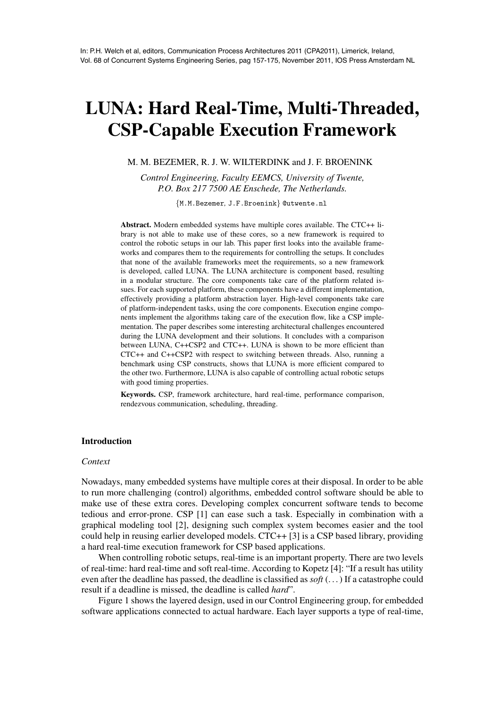# LUNA: Hard Real-Time, Multi-Threaded, CSP-Capable Execution Framework

#### M. M. BEZEMER, R. J. W. WILTERDINK and J. F. BROENINK

*Control Engineering, Faculty EEMCS, University of Twente, P.O. Box 217 7500 AE Enschede, The Netherlands.*

*{*M.M.Bezemer*,* J.F.Broenink*}* @utwente.nl

Abstract. Modern embedded systems have multiple cores available. The CTC++ library is not able to make use of these cores, so a new framework is required to control the robotic setups in our lab. This paper first looks into the available frameworks and compares them to the requirements for controlling the setups. It concludes that none of the available frameworks meet the requirements, so a new framework is developed, called LUNA. The LUNA architecture is component based, resulting in a modular structure. The core components take care of the platform related issues. For each supported platform, these components have a different implementation, effectively providing a platform abstraction layer. High-level components take care of platform-independent tasks, using the core components. Execution engine components implement the algorithms taking care of the execution flow, like a CSP implementation. The paper describes some interesting architectural challenges encountered during the LUNA development and their solutions. It concludes with a comparison between LUNA, C++CSP2 and CTC++. LUNA is shown to be more efficient than CTC++ and C++CSP2 with respect to switching between threads. Also, running a benchmark using CSP constructs, shows that LUNA is more efficient compared to the other two. Furthermore, LUNA is also capable of controlling actual robotic setups with good timing properties.

Keywords. CSP, framework architecture, hard real-time, performance comparison, rendezvous communication, scheduling, threading.

## Introduction

#### *Context*

Nowadays, many embedded systems have multiple cores at their disposal. In order to be able to run more challenging (control) algorithms, embedded control software should be able to make use of these extra cores. Developing complex concurrent software tends to become tedious and error-prone. CSP [1] can ease such a task. Especially in combination with a graphical modeling tool [2], designing such complex system becomes easier and the tool could help in reusing earlier developed models. CTC++ [3] is a CSP based library, providing a hard real-time execution framework for CSP based applications.

When controlling robotic setups, real-time is an important property. There are two levels of real-time: hard real-time and soft real-time. According to Kopetz [4]: "If a result has utility even after the deadline has passed, the deadline is classified as *soft* (. . . ) If a catastrophe could result if a deadline is missed, the deadline is called *hard*".

Figure 1 shows the layered design, used in our Control Engineering group, for embedded software applications connected to actual hardware. Each layer supports a type of real-time,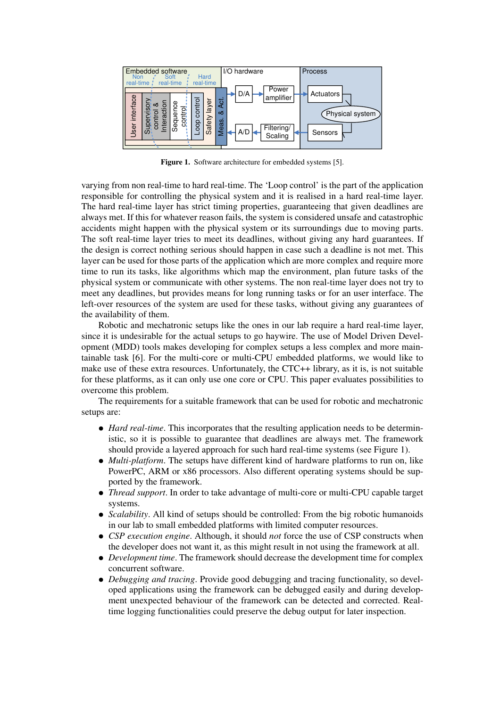

Figure 1. Software architecture for embedded systems [5].

varying from non real-time to hard real-time. The 'Loop control' is the part of the application responsible for controlling the physical system and it is realised in a hard real-time layer. The hard real-time layer has strict timing properties, guaranteeing that given deadlines are always met. If this for whatever reason fails, the system is considered unsafe and catastrophic accidents might happen with the physical system or its surroundings due to moving parts. The soft real-time layer tries to meet its deadlines, without giving any hard guarantees. If the design is correct nothing serious should happen in case such a deadline is not met. This layer can be used for those parts of the application which are more complex and require more time to run its tasks, like algorithms which map the environment, plan future tasks of the physical system or communicate with other systems. The non real-time layer does not try to meet any deadlines, but provides means for long running tasks or for an user interface. The left-over resources of the system are used for these tasks, without giving any guarantees of the availability of them.

Robotic and mechatronic setups like the ones in our lab require a hard real-time layer, since it is undesirable for the actual setups to go haywire. The use of Model Driven Development (MDD) tools makes developing for complex setups a less complex and more maintainable task [6]. For the multi-core or multi-CPU embedded platforms, we would like to make use of these extra resources. Unfortunately, the CTC++ library, as it is, is not suitable for these platforms, as it can only use one core or CPU. This paper evaluates possibilities to overcome this problem.

The requirements for a suitable framework that can be used for robotic and mechatronic setups are:

- *Hard real-time*. This incorporates that the resulting application needs to be deterministic, so it is possible to guarantee that deadlines are always met. The framework should provide a layered approach for such hard real-time systems (see Figure 1).
- *• Multi-platform*. The setups have different kind of hardware platforms to run on, like PowerPC, ARM or x86 processors. Also different operating systems should be supported by the framework.
- *• Thread support*. In order to take advantage of multi-core or multi-CPU capable target systems.
- *Scalability*. All kind of setups should be controlled: From the big robotic humanoids in our lab to small embedded platforms with limited computer resources.
- *• CSP execution engine*. Although, it should *not* force the use of CSP constructs when the developer does not want it, as this might result in not using the framework at all.
- *Development time*. The framework should decrease the development time for complex concurrent software.
- *• Debugging and tracing*. Provide good debugging and tracing functionality, so developed applications using the framework can be debugged easily and during development unexpected behaviour of the framework can be detected and corrected. Realtime logging functionalities could preserve the debug output for later inspection.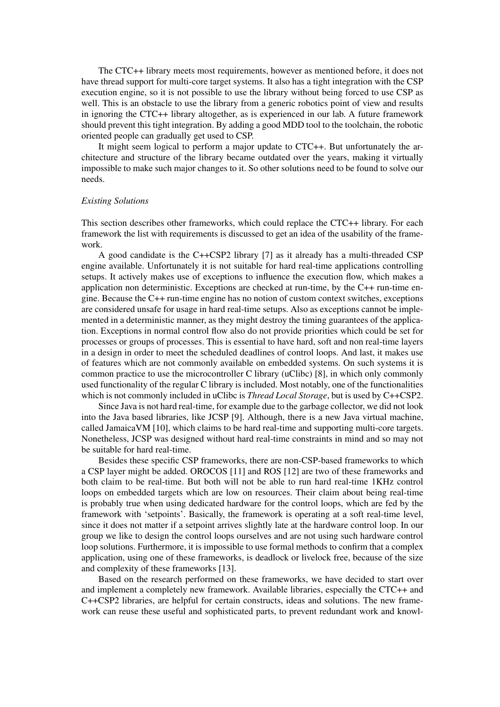The CTC++ library meets most requirements, however as mentioned before, it does not have thread support for multi-core target systems. It also has a tight integration with the CSP execution engine, so it is not possible to use the library without being forced to use CSP as well. This is an obstacle to use the library from a generic robotics point of view and results in ignoring the CTC++ library altogether, as is experienced in our lab. A future framework should prevent this tight integration. By adding a good MDD tool to the toolchain, the robotic oriented people can gradually get used to CSP.

It might seem logical to perform a major update to CTC++. But unfortunately the architecture and structure of the library became outdated over the years, making it virtually impossible to make such major changes to it. So other solutions need to be found to solve our needs.

# *Existing Solutions*

This section describes other frameworks, which could replace the CTC++ library. For each framework the list with requirements is discussed to get an idea of the usability of the framework.

A good candidate is the C++CSP2 library [7] as it already has a multi-threaded CSP engine available. Unfortunately it is not suitable for hard real-time applications controlling setups. It actively makes use of exceptions to influence the execution flow, which makes a application non deterministic. Exceptions are checked at run-time, by the C++ run-time engine. Because the C++ run-time engine has no notion of custom context switches, exceptions are considered unsafe for usage in hard real-time setups. Also as exceptions cannot be implemented in a deterministic manner, as they might destroy the timing guarantees of the application. Exceptions in normal control flow also do not provide priorities which could be set for processes or groups of processes. This is essential to have hard, soft and non real-time layers in a design in order to meet the scheduled deadlines of control loops. And last, it makes use of features which are not commonly available on embedded systems. On such systems it is common practice to use the microcontroller C library (uClibc) [8], in which only commonly used functionality of the regular C library is included. Most notably, one of the functionalities which is not commonly included in uClibc is *Thread Local Storage*, but is used by C++CSP2.

Since Java is not hard real-time, for example due to the garbage collector, we did not look into the Java based libraries, like JCSP [9]. Although, there is a new Java virtual machine, called JamaicaVM [10], which claims to be hard real-time and supporting multi-core targets. Nonetheless, JCSP was designed without hard real-time constraints in mind and so may not be suitable for hard real-time.

Besides these specific CSP frameworks, there are non-CSP-based frameworks to which a CSP layer might be added. OROCOS [11] and ROS [12] are two of these frameworks and both claim to be real-time. But both will not be able to run hard real-time 1KHz control loops on embedded targets which are low on resources. Their claim about being real-time is probably true when using dedicated hardware for the control loops, which are fed by the framework with 'setpoints'. Basically, the framework is operating at a soft real-time level, since it does not matter if a setpoint arrives slightly late at the hardware control loop. In our group we like to design the control loops ourselves and are not using such hardware control loop solutions. Furthermore, it is impossible to use formal methods to confirm that a complex application, using one of these frameworks, is deadlock or livelock free, because of the size and complexity of these frameworks [13].

Based on the research performed on these frameworks, we have decided to start over and implement a completely new framework. Available libraries, especially the CTC++ and C++CSP2 libraries, are helpful for certain constructs, ideas and solutions. The new framework can reuse these useful and sophisticated parts, to prevent redundant work and knowl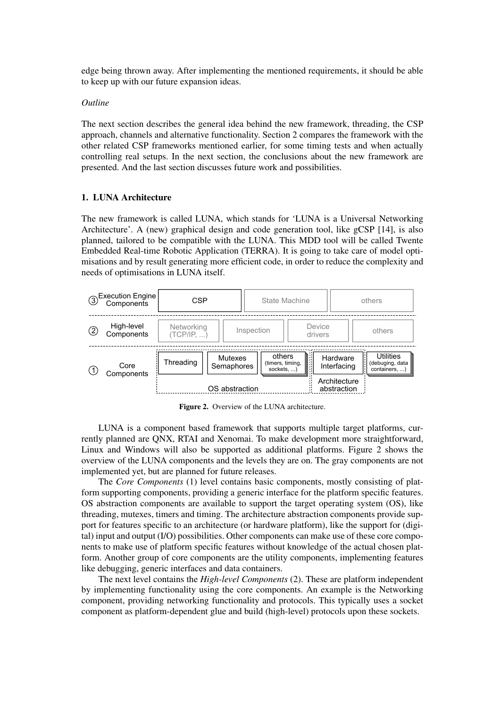edge being thrown away. After implementing the mentioned requirements, it should be able to keep up with our future expansion ideas.

#### *Outline*

The next section describes the general idea behind the new framework, threading, the CSP approach, channels and alternative functionality. Section 2 compares the framework with the other related CSP frameworks mentioned earlier, for some timing tests and when actually controlling real setups. In the next section, the conclusions about the new framework are presented. And the last section discusses future work and possibilities.

# 1. LUNA Architecture

The new framework is called LUNA, which stands for 'LUNA is a Universal Networking Architecture'. A (new) graphical design and code generation tool, like gCSP [14], is also planned, tailored to be compatible with the LUNA. This MDD tool will be called Twente Embedded Real-time Robotic Application (TERRA). It is going to take care of model optimisations and by result generating more efficient code, in order to reduce the complexity and needs of optimisations in LUNA itself.



Figure 2. Overview of the LUNA architecture.

LUNA is a component based framework that supports multiple target platforms, currently planned are QNX, RTAI and Xenomai. To make development more straightforward, Linux and Windows will also be supported as additional platforms. Figure 2 shows the overview of the LUNA components and the levels they are on. The gray components are not implemented yet, but are planned for future releases.

The *Core Components* (1) level contains basic components, mostly consisting of platform supporting components, providing a generic interface for the platform specific features. OS abstraction components are available to support the target operating system (OS), like threading, mutexes, timers and timing. The architecture abstraction components provide support for features specific to an architecture (or hardware platform), like the support for (digital) input and output (I/O) possibilities. Other components can make use of these core components to make use of platform specific features without knowledge of the actual chosen platform. Another group of core components are the utility components, implementing features like debugging, generic interfaces and data containers.

The next level contains the *High-level Components* (2). These are platform independent by implementing functionality using the core components. An example is the Networking component, providing networking functionality and protocols. This typically uses a socket component as platform-dependent glue and build (high-level) protocols upon these sockets.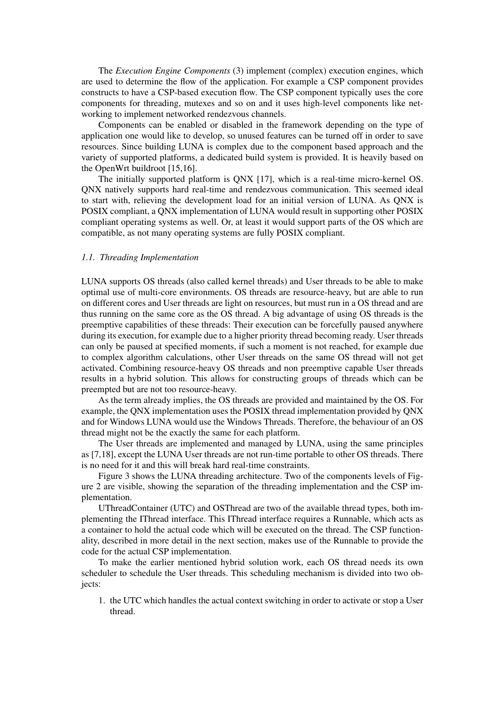The *Execution Engine Components* (3) implement (complex) execution engines, which are used to determine the flow of the application. For example a CSP component provides constructs to have a CSP-based execution flow. The CSP component typically uses the core components for threading, mutexes and so on and it uses high-level components like networking to implement networked rendezvous channels.

Components can be enabled or disabled in the framework depending on the type of application one would like to develop, so unused features can be turned off in order to save resources. Since building LUNA is complex due to the component based approach and the variety of supported platforms, a dedicated build system is provided. It is heavily based on the OpenWrt buildroot [15,16].

The initially supported platform is QNX [17], which is a real-time micro-kernel OS. QNX natively supports hard real-time and rendezvous communication. This seemed ideal to start with, relieving the development load for an initial version of LUNA. As QNX is POSIX compliant, a QNX implementation of LUNA would result in supporting other POSIX compliant operating systems as well. Or, at least it would support parts of the OS which are compatible, as not many operating systems are fully POSIX compliant.

# *1.1. Threading Implementation*

LUNA supports OS threads (also called kernel threads) and User threads to be able to make optimal use of multi-core environments. OS threads are resource-heavy, but are able to run on different cores and User threads are light on resources, but must run in a OS thread and are thus running on the same core as the OS thread. A big advantage of using OS threads is the preemptive capabilities of these threads: Their execution can be forcefully paused anywhere during its execution, for example due to a higher priority thread becoming ready. User threads can only be paused at specified moments, if such a moment is not reached, for example due to complex algorithm calculations, other User threads on the same OS thread will not get activated. Combining resource-heavy OS threads and non preemptive capable User threads results in a hybrid solution. This allows for constructing groups of threads which can be preempted but are not too resource-heavy.

As the term already implies, the OS threads are provided and maintained by the OS. For example, the QNX implementation uses the POSIX thread implementation provided by QNX and for Windows LUNA would use the Windows Threads. Therefore, the behaviour of an OS thread might not be the exactly the same for each platform.

The User threads are implemented and managed by LUNA, using the same principles as [7,18], except the LUNA User threads are not run-time portable to other OS threads. There is no need for it and this will break hard real-time constraints.

Figure 3 shows the LUNA threading architecture. Two of the components levels of Figure 2 are visible, showing the separation of the threading implementation and the CSP implementation.

UThreadContainer (UTC) and OSThread are two of the available thread types, both implementing the IThread interface. This IThread interface requires a Runnable, which acts as a container to hold the actual code which will be executed on the thread. The CSP functionality, described in more detail in the next section, makes use of the Runnable to provide the code for the actual CSP implementation.

To make the earlier mentioned hybrid solution work, each OS thread needs its own scheduler to schedule the User threads. This scheduling mechanism is divided into two objects:

1. the UTC which handles the actual context switching in order to activate or stop a User thread.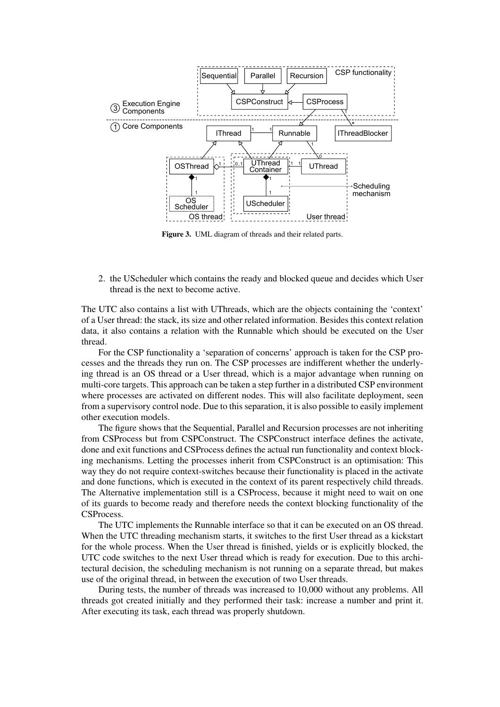

Figure 3. UML diagram of threads and their related parts.

2. the UScheduler which contains the ready and blocked queue and decides which User thread is the next to become active.

The UTC also contains a list with UThreads, which are the objects containing the 'context' of a User thread: the stack, its size and other related information. Besides this context relation data, it also contains a relation with the Runnable which should be executed on the User thread.

For the CSP functionality a 'separation of concerns' approach is taken for the CSP processes and the threads they run on. The CSP processes are indifferent whether the underlying thread is an OS thread or a User thread, which is a major advantage when running on multi-core targets. This approach can be taken a step further in a distributed CSP environment where processes are activated on different nodes. This will also facilitate deployment, seen from a supervisory control node. Due to this separation, it is also possible to easily implement other execution models.

The figure shows that the Sequential, Parallel and Recursion processes are not inheriting from CSProcess but from CSPConstruct. The CSPConstruct interface defines the activate, done and exit functions and CSProcess defines the actual run functionality and context blocking mechanisms. Letting the processes inherit from CSPConstruct is an optimisation: This way they do not require context-switches because their functionality is placed in the activate and done functions, which is executed in the context of its parent respectively child threads. The Alternative implementation still is a CSProcess, because it might need to wait on one of its guards to become ready and therefore needs the context blocking functionality of the CSProcess.

The UTC implements the Runnable interface so that it can be executed on an OS thread. When the UTC threading mechanism starts, it switches to the first User thread as a kickstart for the whole process. When the User thread is finished, yields or is explicitly blocked, the UTC code switches to the next User thread which is ready for execution. Due to this architectural decision, the scheduling mechanism is not running on a separate thread, but makes use of the original thread, in between the execution of two User threads.

During tests, the number of threads was increased to 10,000 without any problems. All threads got created initially and they performed their task: increase a number and print it. After executing its task, each thread was properly shutdown.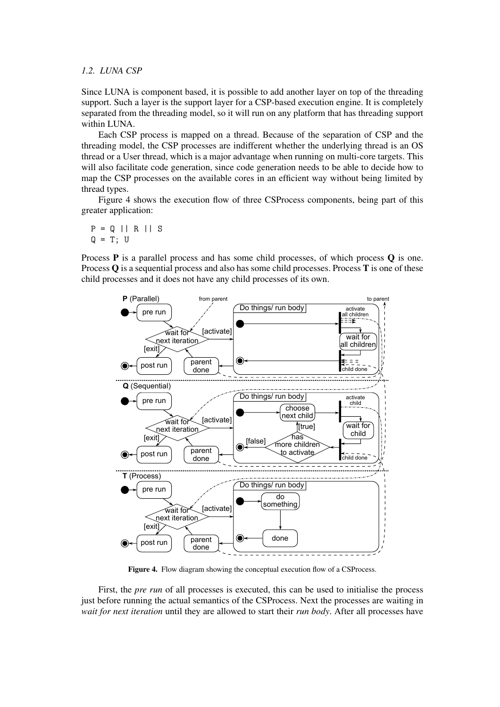# *1.2. LUNA CSP*

Since LUNA is component based, it is possible to add another layer on top of the threading support. Such a layer is the support layer for a CSP-based execution engine. It is completely separated from the threading model, so it will run on any platform that has threading support within LUNA.

Each CSP process is mapped on a thread. Because of the separation of CSP and the threading model, the CSP processes are indifferent whether the underlying thread is an OS thread or a User thread, which is a major advantage when running on multi-core targets. This will also facilitate code generation, since code generation needs to be able to decide how to map the CSP processes on the available cores in an efficient way without being limited by thread types.

Figure 4 shows the execution flow of three CSProcess components, being part of this greater application:

 $P = Q || R || S$  $Q = T$ ; U

Process  $P$  is a parallel process and has some child processes, of which process  $Q$  is one. Process  $\bf{O}$  is a sequential process and also has some child processes. Process  $\bf{T}$  is one of these child processes and it does not have any child processes of its own.



Figure 4. Flow diagram showing the conceptual execution flow of a CSProcess.

First, the *pre run* of all processes is executed, this can be used to initialise the process just before running the actual semantics of the CSProcess. Next the processes are waiting in *wait for next iteration* until they are allowed to start their *run body*. After all processes have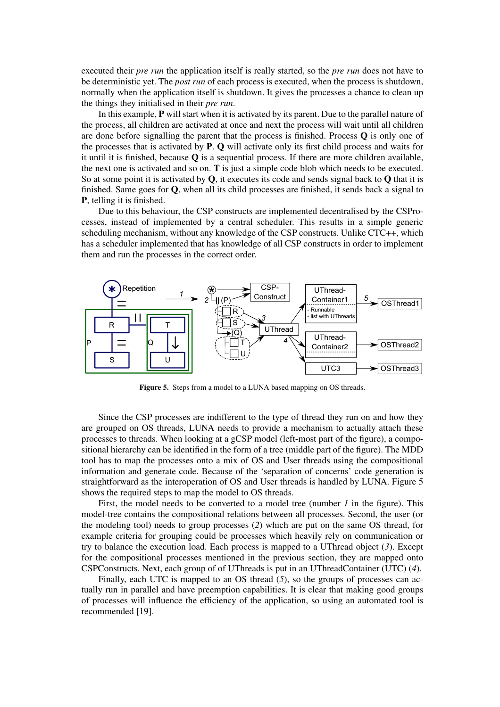executed their *pre run* the application itself is really started, so the *pre run* does not have to be deterministic yet. The *post run* of each process is executed, when the process is shutdown, normally when the application itself is shutdown. It gives the processes a chance to clean up the things they initialised in their *pre run*.

In this example, P will start when it is activated by its parent. Due to the parallel nature of the process, all children are activated at once and next the process will wait until all children are done before signalling the parent that the process is finished. Process  $\bf{Q}$  is only one of the processes that is activated by  $P$ .  $Q$  will activate only its first child process and waits for it until it is finished, because  $\bf{Q}$  is a sequential process. If there are more children available, the next one is activated and so on.  $\bf{T}$  is just a simple code blob which needs to be executed. So at some point it is activated by  $Q$ , it executes its code and sends signal back to  $Q$  that it is finished. Same goes for  $Q$ , when all its child processes are finished, it sends back a signal to P, telling it is finished.

Due to this behaviour, the CSP constructs are implemented decentralised by the CSProcesses, instead of implemented by a central scheduler. This results in a simple generic scheduling mechanism, without any knowledge of the CSP constructs. Unlike CTC++, which has a scheduler implemented that has knowledge of all CSP constructs in order to implement them and run the processes in the correct order.



Figure 5. Steps from a model to a LUNA based mapping on OS threads.

Since the CSP processes are indifferent to the type of thread they run on and how they are grouped on OS threads, LUNA needs to provide a mechanism to actually attach these processes to threads. When looking at a gCSP model (left-most part of the figure), a compositional hierarchy can be identified in the form of a tree (middle part of the figure). The MDD tool has to map the processes onto a mix of OS and User threads using the compositional information and generate code. Because of the 'separation of concerns' code generation is straightforward as the interoperation of OS and User threads is handled by LUNA. Figure 5 shows the required steps to map the model to OS threads.

First, the model needs to be converted to a model tree (number *1* in the figure). This model-tree contains the compositional relations between all processes. Second, the user (or the modeling tool) needs to group processes (*2*) which are put on the same OS thread, for example criteria for grouping could be processes which heavily rely on communication or try to balance the execution load. Each process is mapped to a UThread object (*3*). Except for the compositional processes mentioned in the previous section, they are mapped onto CSPConstructs. Next, each group of of UThreads is put in an UThreadContainer (UTC) (*4*).

Finally, each UTC is mapped to an OS thread (*5*), so the groups of processes can actually run in parallel and have preemption capabilities. It is clear that making good groups of processes will influence the efficiency of the application, so using an automated tool is recommended [19].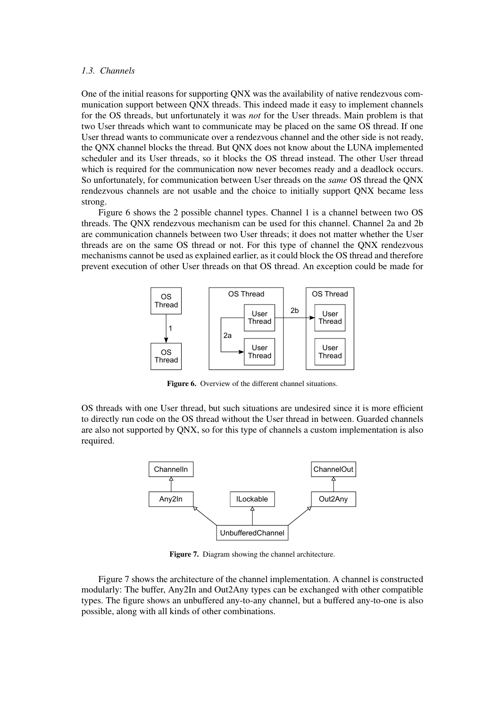# *1.3. Channels*

One of the initial reasons for supporting QNX was the availability of native rendezvous communication support between QNX threads. This indeed made it easy to implement channels for the OS threads, but unfortunately it was *not* for the User threads. Main problem is that two User threads which want to communicate may be placed on the same OS thread. If one User thread wants to communicate over a rendezvous channel and the other side is not ready, the QNX channel blocks the thread. But QNX does not know about the LUNA implemented scheduler and its User threads, so it blocks the OS thread instead. The other User thread which is required for the communication now never becomes ready and a deadlock occurs. So unfortunately, for communication between User threads on the *same* OS thread the QNX rendezvous channels are not usable and the choice to initially support QNX became less strong.

Figure 6 shows the 2 possible channel types. Channel 1 is a channel between two OS threads. The QNX rendezvous mechanism can be used for this channel. Channel 2a and 2b are communication channels between two User threads; it does not matter whether the User threads are on the same OS thread or not. For this type of channel the QNX rendezvous mechanisms cannot be used as explained earlier, as it could block the OS thread and therefore prevent execution of other User threads on that OS thread. An exception could be made for



Figure 6. Overview of the different channel situations.

OS threads with one User thread, but such situations are undesired since it is more efficient to directly run code on the OS thread without the User thread in between. Guarded channels are also not supported by QNX, so for this type of channels a custom implementation is also required.



Figure 7. Diagram showing the channel architecture.

Figure 7 shows the architecture of the channel implementation. A channel is constructed modularly: The buffer, Any2In and Out2Any types can be exchanged with other compatible types. The figure shows an unbuffered any-to-any channel, but a buffered any-to-one is also possible, along with all kinds of other combinations.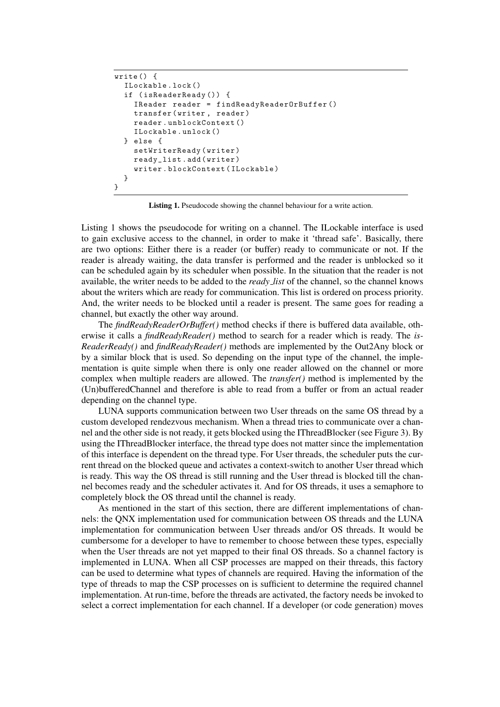```
write() {
  ILockable.lock()
  if (isReaderReady ()) {
    IReader reader = findReadyReaderOrBuffer()
    transfer(writer , reader)
    reader.unblockContext()
    ILockable.unlock()
  } else {
    setWriterReady(writer)
    ready_list.add(writer)
    writer.blockContext(ILockable)
  }
}
```
Listing 1. Pseudocode showing the channel behaviour for a write action.

Listing 1 shows the pseudocode for writing on a channel. The ILockable interface is used to gain exclusive access to the channel, in order to make it 'thread safe'. Basically, there are two options: Either there is a reader (or buffer) ready to communicate or not. If the reader is already waiting, the data transfer is performed and the reader is unblocked so it can be scheduled again by its scheduler when possible. In the situation that the reader is not available, the writer needs to be added to the *ready list* of the channel, so the channel knows about the writers which are ready for communication. This list is ordered on process priority. And, the writer needs to be blocked until a reader is present. The same goes for reading a channel, but exactly the other way around.

The *findReadyReaderOrBuffer()* method checks if there is buffered data available, otherwise it calls a *findReadyReader()* method to search for a reader which is ready. The *is-ReaderReady()* and *findReadyReader()* methods are implemented by the Out2Any block or by a similar block that is used. So depending on the input type of the channel, the implementation is quite simple when there is only one reader allowed on the channel or more complex when multiple readers are allowed. The *transfer()* method is implemented by the (Un)bufferedChannel and therefore is able to read from a buffer or from an actual reader depending on the channel type.

LUNA supports communication between two User threads on the same OS thread by a custom developed rendezvous mechanism. When a thread tries to communicate over a channel and the other side is not ready, it gets blocked using the IThreadBlocker (see Figure 3). By using the IThreadBlocker interface, the thread type does not matter since the implementation of this interface is dependent on the thread type. For User threads, the scheduler puts the current thread on the blocked queue and activates a context-switch to another User thread which is ready. This way the OS thread is still running and the User thread is blocked till the channel becomes ready and the scheduler activates it. And for OS threads, it uses a semaphore to completely block the OS thread until the channel is ready.

As mentioned in the start of this section, there are different implementations of channels: the QNX implementation used for communication between OS threads and the LUNA implementation for communication between User threads and/or OS threads. It would be cumbersome for a developer to have to remember to choose between these types, especially when the User threads are not yet mapped to their final OS threads. So a channel factory is implemented in LUNA. When all CSP processes are mapped on their threads, this factory can be used to determine what types of channels are required. Having the information of the type of threads to map the CSP processes on is sufficient to determine the required channel implementation. At run-time, before the threads are activated, the factory needs be invoked to select a correct implementation for each channel. If a developer (or code generation) moves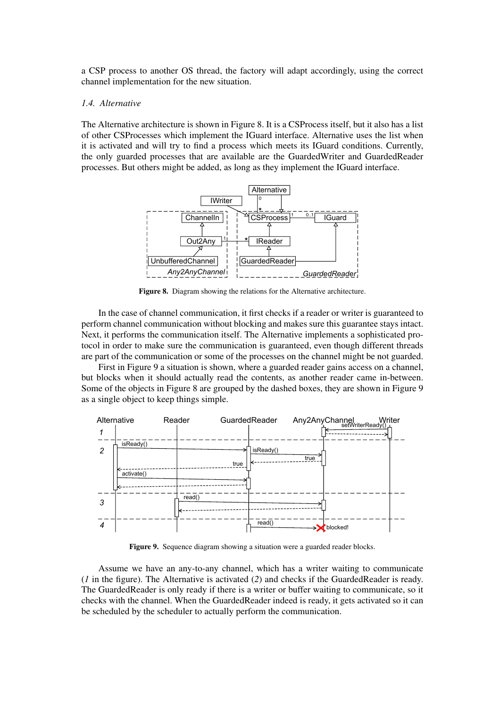a CSP process to another OS thread, the factory will adapt accordingly, using the correct channel implementation for the new situation.

# *1.4. Alternative*

The Alternative architecture is shown in Figure 8. It is a CSProcess itself, but it also has a list of other CSProcesses which implement the IGuard interface. Alternative uses the list when it is activated and will try to find a process which meets its IGuard conditions. Currently, the only guarded processes that are available are the GuardedWriter and GuardedReader processes. But others might be added, as long as they implement the IGuard interface.



Figure 8. Diagram showing the relations for the Alternative architecture.

In the case of channel communication, it first checks if a reader or writer is guaranteed to perform channel communication without blocking and makes sure this guarantee stays intact. Next, it performs the communication itself. The Alternative implements a sophisticated protocol in order to make sure the communication is guaranteed, even though different threads are part of the communication or some of the processes on the channel might be not guarded.

First in Figure 9 a situation is shown, where a guarded reader gains access on a channel, but blocks when it should actually read the contents, as another reader came in-between. Some of the objects in Figure 8 are grouped by the dashed boxes, they are shown in Figure 9 as a single object to keep things simple.



Figure 9. Sequence diagram showing a situation were a guarded reader blocks.

Assume we have an any-to-any channel, which has a writer waiting to communicate (*1* in the figure). The Alternative is activated (*2*) and checks if the GuardedReader is ready. The GuardedReader is only ready if there is a writer or buffer waiting to communicate, so it checks with the channel. When the GuardedReader indeed is ready, it gets activated so it can be scheduled by the scheduler to actually perform the communication.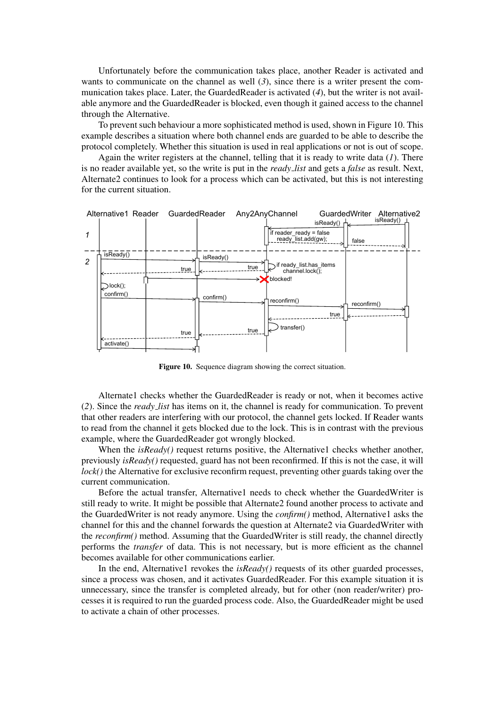Unfortunately before the communication takes place, another Reader is activated and wants to communicate on the channel as well  $(3)$ , since there is a writer present the communication takes place. Later, the GuardedReader is activated (*4*), but the writer is not available anymore and the GuardedReader is blocked, even though it gained access to the channel through the Alternative.

To prevent such behaviour a more sophisticated method is used, shown in Figure 10. This example describes a situation where both channel ends are guarded to be able to describe the protocol completely. Whether this situation is used in real applications or not is out of scope.

Again the writer registers at the channel, telling that it is ready to write data (*1*). There is no reader available yet, so the write is put in the *ready list* and gets a *false* as result. Next, Alternate2 continues to look for a process which can be activated, but this is not interesting for the current situation.



Figure 10. Sequence diagram showing the correct situation.

Alternate1 checks whether the GuardedReader is ready or not, when it becomes active (*2*). Since the *ready list* has items on it, the channel is ready for communication. To prevent that other readers are interfering with our protocol, the channel gets locked. If Reader wants to read from the channel it gets blocked due to the lock. This is in contrast with the previous example, where the GuardedReader got wrongly blocked.

When the *isReady()* request returns positive, the Alternative1 checks whether another, previously *isReady()* requested, guard has not been reconfirmed. If this is not the case, it will *lock()* the Alternative for exclusive reconfirm request, preventing other guards taking over the current communication.

Before the actual transfer, Alternative1 needs to check whether the GuardedWriter is still ready to write. It might be possible that Alternate2 found another process to activate and the GuardedWriter is not ready anymore. Using the *confirm()* method, Alternative1 asks the channel for this and the channel forwards the question at Alternate2 via GuardedWriter with the *reconfirm()* method. Assuming that the GuardedWriter is still ready, the channel directly performs the *transfer* of data. This is not necessary, but is more efficient as the channel becomes available for other communications earlier.

In the end, Alternative1 revokes the *isReady()* requests of its other guarded processes, since a process was chosen, and it activates GuardedReader. For this example situation it is unnecessary, since the transfer is completed already, but for other (non reader/writer) processes it is required to run the guarded process code. Also, the GuardedReader might be used to activate a chain of other processes.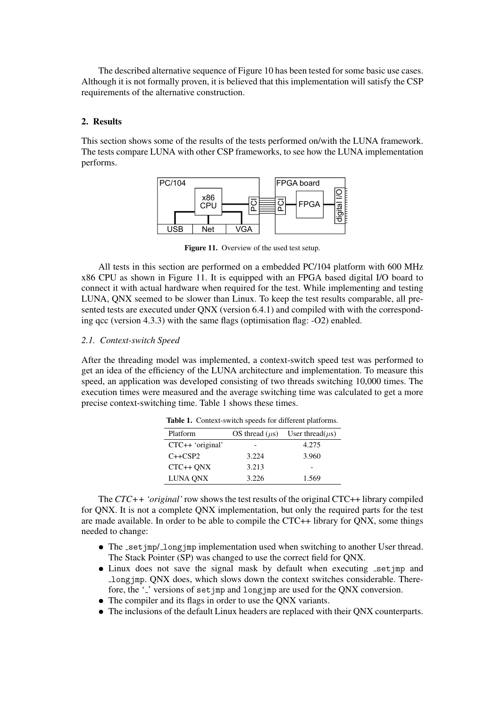The described alternative sequence of Figure 10 has been tested for some basic use cases. Although it is not formally proven, it is believed that this implementation will satisfy the CSP requirements of the alternative construction.

#### 2. Results

This section shows some of the results of the tests performed on/with the LUNA framework. The tests compare LUNA with other CSP frameworks, to see how the LUNA implementation performs.



Figure 11. Overview of the used test setup.

All tests in this section are performed on a embedded PC/104 platform with 600 MHz x86 CPU as shown in Figure 11. It is equipped with an FPGA based digital I/O board to connect it with actual hardware when required for the test. While implementing and testing LUNA, QNX seemed to be slower than Linux. To keep the test results comparable, all presented tests are executed under QNX (version 6.4.1) and compiled with with the corresponding qcc (version 4.3.3) with the same flags (optimisation flag: -O2) enabled.

# *2.1. Context-switch Speed*

After the threading model was implemented, a context-switch speed test was performed to get an idea of the efficiency of the LUNA architecture and implementation. To measure this speed, an application was developed consisting of two threads switching 10,000 times. The execution times were measured and the average switching time was calculated to get a more precise context-switching time. Table 1 shows these times.

| Platform           | OS thread $(\mu s)$ | User thread( $\mu$ s) |
|--------------------|---------------------|-----------------------|
| $CTC++$ 'original' |                     | 4.275                 |
| $C++CSP2$          | 3.224               | 3.960                 |
| $CTC++ONX$         | 3.213               |                       |
| LUNA ONX           | 3.226               | 1.569                 |

Table 1. Context-switch speeds for different platforms.

The *CTC++ 'original'* row shows the test results of the original CTC++ library compiled for QNX. It is not a complete QNX implementation, but only the required parts for the test are made available. In order to be able to compile the CTC++ library for QNX, some things needed to change:

- The set  $\text{imp}/\text{long}$  implementation used when switching to another User thread. The Stack Pointer (SP) was changed to use the correct field for QNX.
- Linux does not save the signal mask by default when executing set imp and longjmp. QNX does, which slows down the context switches considerable. Therefore, the '.' versions of set jmp and long imp are used for the QNX conversion.
- *•* The compiler and its flags in order to use the QNX variants.
- The inclusions of the default Linux headers are replaced with their QNX counterparts.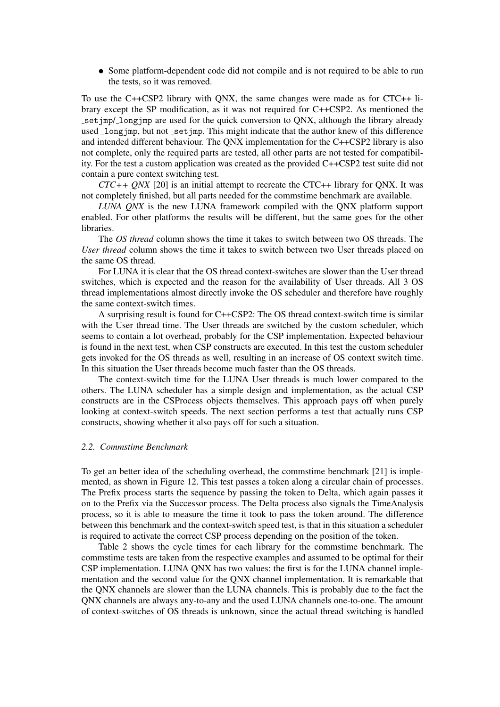• Some platform-dependent code did not compile and is not required to be able to run the tests, so it was removed.

To use the C++CSP2 library with QNX, the same changes were made as for CTC++ library except the SP modification, as it was not required for C++CSP2. As mentioned the setjmp/ longjmp are used for the quick conversion to QNX, although the library already used long jmp, but not set jmp. This might indicate that the author knew of this difference and intended different behaviour. The QNX implementation for the C++CSP2 library is also not complete, only the required parts are tested, all other parts are not tested for compatibility. For the test a custom application was created as the provided C++CSP2 test suite did not contain a pure context switching test.

*CTC++ QNX* [20] is an initial attempt to recreate the CTC++ library for QNX. It was not completely finished, but all parts needed for the commstime benchmark are available.

*LUNA QNX* is the new LUNA framework compiled with the QNX platform support enabled. For other platforms the results will be different, but the same goes for the other libraries.

The *OS thread* column shows the time it takes to switch between two OS threads. The *User thread* column shows the time it takes to switch between two User threads placed on the same OS thread.

For LUNA it is clear that the OS thread context-switches are slower than the User thread switches, which is expected and the reason for the availability of User threads. All 3 OS thread implementations almost directly invoke the OS scheduler and therefore have roughly the same context-switch times.

A surprising result is found for C++CSP2: The OS thread context-switch time is similar with the User thread time. The User threads are switched by the custom scheduler, which seems to contain a lot overhead, probably for the CSP implementation. Expected behaviour is found in the next test, when CSP constructs are executed. In this test the custom scheduler gets invoked for the OS threads as well, resulting in an increase of OS context switch time. In this situation the User threads become much faster than the OS threads.

The context-switch time for the LUNA User threads is much lower compared to the others. The LUNA scheduler has a simple design and implementation, as the actual CSP constructs are in the CSProcess objects themselves. This approach pays off when purely looking at context-switch speeds. The next section performs a test that actually runs CSP constructs, showing whether it also pays off for such a situation.

#### *2.2. Commstime Benchmark*

To get an better idea of the scheduling overhead, the commstime benchmark [21] is implemented, as shown in Figure 12. This test passes a token along a circular chain of processes. The Prefix process starts the sequence by passing the token to Delta, which again passes it on to the Prefix via the Successor process. The Delta process also signals the TimeAnalysis process, so it is able to measure the time it took to pass the token around. The difference between this benchmark and the context-switch speed test, is that in this situation a scheduler is required to activate the correct CSP process depending on the position of the token.

Table 2 shows the cycle times for each library for the commstime benchmark. The commstime tests are taken from the respective examples and assumed to be optimal for their CSP implementation. LUNA QNX has two values: the first is for the LUNA channel implementation and the second value for the QNX channel implementation. It is remarkable that the QNX channels are slower than the LUNA channels. This is probably due to the fact the QNX channels are always any-to-any and the used LUNA channels one-to-one. The amount of context-switches of OS threads is unknown, since the actual thread switching is handled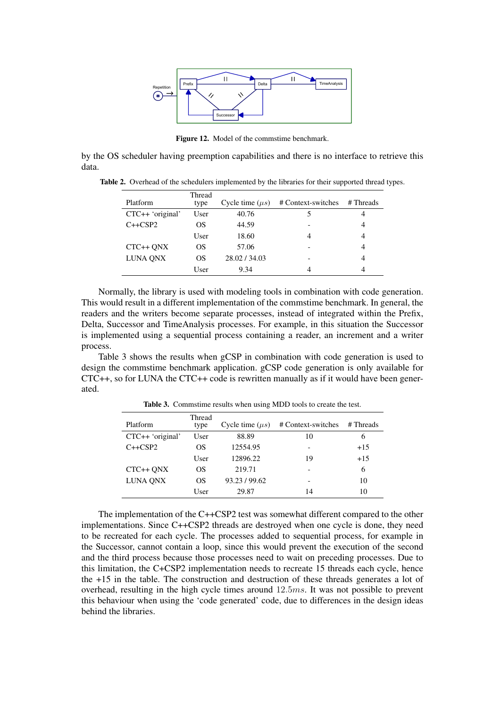

Figure 12. Model of the commstime benchmark.

by the OS scheduler having preemption capabilities and there is no interface to retrieve this data.

Table 2. Overhead of the schedulers implemented by the libraries for their supported thread types.

| Platform           | Thread<br>type | Cycle time $(\mu s)$ | # Context-switches | # Threads |
|--------------------|----------------|----------------------|--------------------|-----------|
| $CTC++$ 'original' | User           | 40.76                | 5                  |           |
| $C++CSP2$          | OS             | 44.59                |                    | 4         |
|                    | User           | 18.60                | 4                  | 4         |
| $CTC++ONX$         | OS             | 57.06                |                    | 4         |
| <b>LUNA ONX</b>    | OS             | 28.02/34.03          |                    | 4         |
|                    | User           | 9.34                 | 4                  | 4         |

Normally, the library is used with modeling tools in combination with code generation. This would result in a different implementation of the commstime benchmark. In general, the readers and the writers become separate processes, instead of integrated within the Prefix, Delta, Successor and TimeAnalysis processes. For example, in this situation the Successor is implemented using a sequential process containing a reader, an increment and a writer process.

Table 3 shows the results when gCSP in combination with code generation is used to design the commstime benchmark application. gCSP code generation is only available for  $CTC++$ , so for LUNA the  $CTC++$  code is rewritten manually as if it would have been generated.

| Platform           | Thread<br>type | Cycle time $(\mu s)$ | # Context-switches | # Threads |
|--------------------|----------------|----------------------|--------------------|-----------|
| $CTC++$ 'original' | User           | 88.89                | 10                 | 6         |
| $C++CSP2$          | OS             | 12554.95             |                    | $+15$     |
|                    | User           | 12896.22             | 19                 | $+15$     |
| $CTC++ONX$         | OS             | 219.71               |                    | 6         |
| <b>LUNA ONX</b>    | OS             | 93.23/99.62          |                    | 10        |
|                    | User           | 29.87                | 14                 | 10        |

Table 3. Commstime results when using MDD tools to create the test.

The implementation of the C++CSP2 test was somewhat different compared to the other implementations. Since C++CSP2 threads are destroyed when one cycle is done, they need to be recreated for each cycle. The processes added to sequential process, for example in the Successor, cannot contain a loop, since this would prevent the execution of the second and the third process because those processes need to wait on preceding processes. Due to this limitation, the C+CSP2 implementation needs to recreate 15 threads each cycle, hence the +15 in the table. The construction and destruction of these threads generates a lot of overhead, resulting in the high cycle times around 12*.*5*ms*. It was not possible to prevent this behaviour when using the 'code generated' code, due to differences in the design ideas behind the libraries.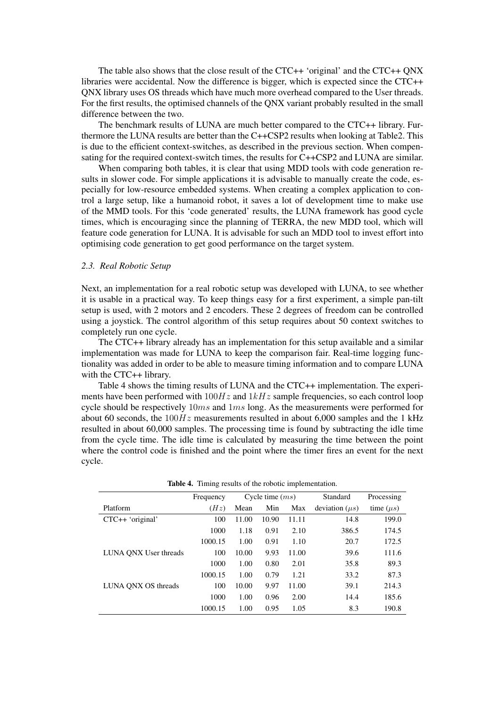The table also shows that the close result of the CTC++ 'original' and the CTC++ QNX libraries were accidental. Now the difference is bigger, which is expected since the CTC++ QNX library uses OS threads which have much more overhead compared to the User threads. For the first results, the optimised channels of the QNX variant probably resulted in the small difference between the two.

The benchmark results of LUNA are much better compared to the CTC++ library. Furthermore the LUNA results are better than the C++CSP2 results when looking at Table2. This is due to the efficient context-switches, as described in the previous section. When compensating for the required context-switch times, the results for C++CSP2 and LUNA are similar.

When comparing both tables, it is clear that using MDD tools with code generation results in slower code. For simple applications it is advisable to manually create the code, especially for low-resource embedded systems. When creating a complex application to control a large setup, like a humanoid robot, it saves a lot of development time to make use of the MMD tools. For this 'code generated' results, the LUNA framework has good cycle times, which is encouraging since the planning of TERRA, the new MDD tool, which will feature code generation for LUNA. It is advisable for such an MDD tool to invest effort into optimising code generation to get good performance on the target system.

#### *2.3. Real Robotic Setup*

Next, an implementation for a real robotic setup was developed with LUNA, to see whether it is usable in a practical way. To keep things easy for a first experiment, a simple pan-tilt setup is used, with 2 motors and 2 encoders. These 2 degrees of freedom can be controlled using a joystick. The control algorithm of this setup requires about 50 context switches to completely run one cycle.

The CTC++ library already has an implementation for this setup available and a similar implementation was made for LUNA to keep the comparison fair. Real-time logging functionality was added in order to be able to measure timing information and to compare LUNA with the CTC++ library.

Table 4 shows the timing results of LUNA and the CTC++ implementation. The experiments have been performed with 100*Hz* and 1*kHz* sample frequencies, so each control loop cycle should be respectively 10*ms* and 1*ms* long. As the measurements were performed for about 60 seconds, the  $100Hz$  measurements resulted in about 6,000 samples and the 1 kHz resulted in about 60,000 samples. The processing time is found by subtracting the idle time from the cycle time. The idle time is calculated by measuring the time between the point where the control code is finished and the point where the timer fires an event for the next cycle.

|                       | Frequency | Cycle time $(ms)$ |       |       | Standard            | Processing     |
|-----------------------|-----------|-------------------|-------|-------|---------------------|----------------|
| Platform              | (Hz)      | Mean              | Min   | Max   | deviation $(\mu s)$ | time $(\mu s)$ |
| $CTC++$ 'original'    | 100       | 11.00             | 10.90 | 11.11 | 14.8                | 199.0          |
|                       | 1000      | 1.18              | 0.91  | 2.10  | 386.5               | 174.5          |
|                       | 1000.15   | 1.00              | 0.91  | 1.10  | 20.7                | 172.5          |
| LUNA ONX User threads | 100       | 10.00             | 9.93  | 11.00 | 39.6                | 111.6          |
|                       | 1000      | 1.00              | 0.80  | 2.01  | 35.8                | 89.3           |
|                       | 1000.15   | 1.00              | 0.79  | 1.21  | 33.2                | 87.3           |
| LUNA QNX OS threads   | 100       | 10.00             | 9.97  | 11.00 | 39.1                | 214.3          |
|                       | 1000      | 1.00              | 0.96  | 2.00  | 14.4                | 185.6          |
|                       | 1000.15   | 1.00              | 0.95  | 1.05  | 8.3                 | 190.8          |

|  |  |  |  | <b>Table 4.</b> Timing results of the robotic implementation. |
|--|--|--|--|---------------------------------------------------------------|
|--|--|--|--|---------------------------------------------------------------|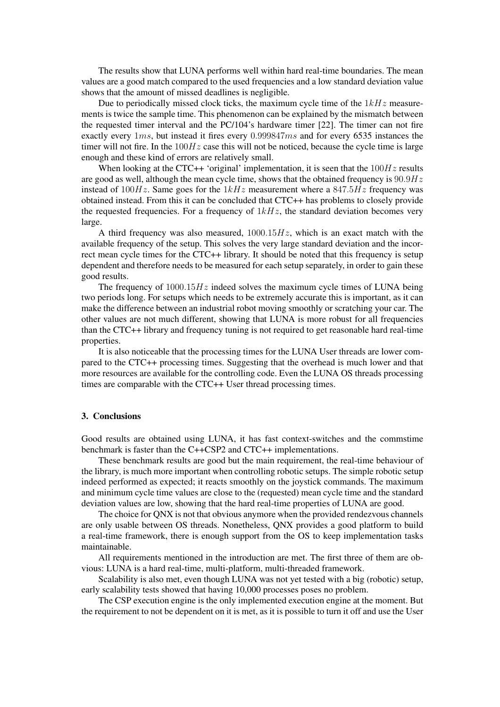The results show that LUNA performs well within hard real-time boundaries. The mean values are a good match compared to the used frequencies and a low standard deviation value shows that the amount of missed deadlines is negligible.

Due to periodically missed clock ticks, the maximum cycle time of the  $1kHz$  measurements is twice the sample time. This phenomenon can be explained by the mismatch between the requested timer interval and the PC/104's hardware timer [22]. The timer can not fire exactly every 1*ms*, but instead it fires every 0*.*999847*ms* and for every 6535 instances the timer will not fire. In the  $100Hz$  case this will not be noticed, because the cycle time is large enough and these kind of errors are relatively small.

When looking at the CTC++ 'original' implementation, it is seen that the  $100Hz$  results are good as well, although the mean cycle time, shows that the obtained frequency is 90*.*9*Hz* instead of  $100Hz$ . Same goes for the  $1kHz$  measurement where a  $847.5Hz$  frequency was obtained instead. From this it can be concluded that CTC++ has problems to closely provide the requested frequencies. For a frequency of  $1kHz$ , the standard deviation becomes very large.

A third frequency was also measured,  $1000.15Hz$ , which is an exact match with the available frequency of the setup. This solves the very large standard deviation and the incorrect mean cycle times for the CTC++ library. It should be noted that this frequency is setup dependent and therefore needs to be measured for each setup separately, in order to gain these good results.

The frequency of  $1000.15Hz$  indeed solves the maximum cycle times of LUNA being two periods long. For setups which needs to be extremely accurate this is important, as it can make the difference between an industrial robot moving smoothly or scratching your car. The other values are not much different, showing that LUNA is more robust for all frequencies than the CTC++ library and frequency tuning is not required to get reasonable hard real-time properties.

It is also noticeable that the processing times for the LUNA User threads are lower compared to the CTC++ processing times. Suggesting that the overhead is much lower and that more resources are available for the controlling code. Even the LUNA OS threads processing times are comparable with the CTC++ User thread processing times.

#### 3. Conclusions

Good results are obtained using LUNA, it has fast context-switches and the commstime benchmark is faster than the C++CSP2 and CTC++ implementations.

These benchmark results are good but the main requirement, the real-time behaviour of the library, is much more important when controlling robotic setups. The simple robotic setup indeed performed as expected; it reacts smoothly on the joystick commands. The maximum and minimum cycle time values are close to the (requested) mean cycle time and the standard deviation values are low, showing that the hard real-time properties of LUNA are good.

The choice for QNX is not that obvious anymore when the provided rendezvous channels are only usable between OS threads. Nonetheless, QNX provides a good platform to build a real-time framework, there is enough support from the OS to keep implementation tasks maintainable.

All requirements mentioned in the introduction are met. The first three of them are obvious: LUNA is a hard real-time, multi-platform, multi-threaded framework.

Scalability is also met, even though LUNA was not yet tested with a big (robotic) setup, early scalability tests showed that having 10,000 processes poses no problem.

The CSP execution engine is the only implemented execution engine at the moment. But the requirement to not be dependent on it is met, as it is possible to turn it off and use the User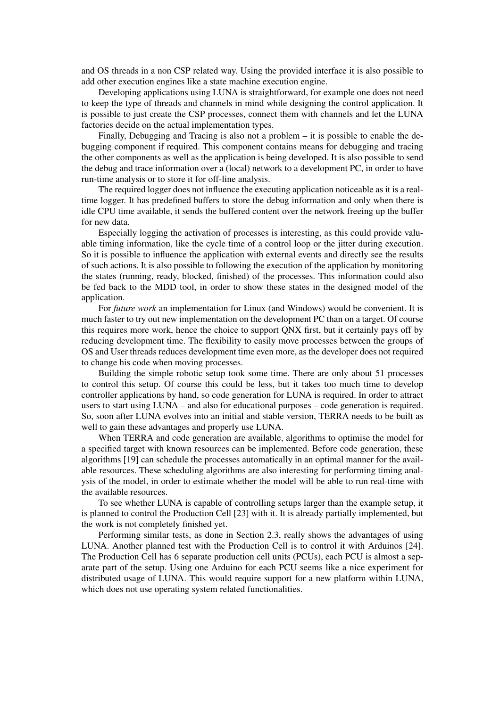and OS threads in a non CSP related way. Using the provided interface it is also possible to add other execution engines like a state machine execution engine.

Developing applications using LUNA is straightforward, for example one does not need to keep the type of threads and channels in mind while designing the control application. It is possible to just create the CSP processes, connect them with channels and let the LUNA factories decide on the actual implementation types.

Finally, Debugging and Tracing is also not a problem – it is possible to enable the debugging component if required. This component contains means for debugging and tracing the other components as well as the application is being developed. It is also possible to send the debug and trace information over a (local) network to a development PC, in order to have run-time analysis or to store it for off-line analysis.

The required logger does not influence the executing application noticeable as it is a realtime logger. It has predefined buffers to store the debug information and only when there is idle CPU time available, it sends the buffered content over the network freeing up the buffer for new data.

Especially logging the activation of processes is interesting, as this could provide valuable timing information, like the cycle time of a control loop or the jitter during execution. So it is possible to influence the application with external events and directly see the results of such actions. It is also possible to following the execution of the application by monitoring the states (running, ready, blocked, finished) of the processes. This information could also be fed back to the MDD tool, in order to show these states in the designed model of the application.

For *future work* an implementation for Linux (and Windows) would be convenient. It is much faster to try out new implementation on the development PC than on a target. Of course this requires more work, hence the choice to support QNX first, but it certainly pays off by reducing development time. The flexibility to easily move processes between the groups of OS and User threads reduces development time even more, as the developer does not required to change his code when moving processes.

Building the simple robotic setup took some time. There are only about 51 processes to control this setup. Of course this could be less, but it takes too much time to develop controller applications by hand, so code generation for LUNA is required. In order to attract users to start using LUNA – and also for educational purposes – code generation is required. So, soon after LUNA evolves into an initial and stable version, TERRA needs to be built as well to gain these advantages and properly use LUNA.

When TERRA and code generation are available, algorithms to optimise the model for a specified target with known resources can be implemented. Before code generation, these algorithms [19] can schedule the processes automatically in an optimal manner for the available resources. These scheduling algorithms are also interesting for performing timing analysis of the model, in order to estimate whether the model will be able to run real-time with the available resources.

To see whether LUNA is capable of controlling setups larger than the example setup, it is planned to control the Production Cell [23] with it. It is already partially implemented, but the work is not completely finished yet.

Performing similar tests, as done in Section 2.3, really shows the advantages of using LUNA. Another planned test with the Production Cell is to control it with Arduinos [24]. The Production Cell has 6 separate production cell units (PCUs), each PCU is almost a separate part of the setup. Using one Arduino for each PCU seems like a nice experiment for distributed usage of LUNA. This would require support for a new platform within LUNA, which does not use operating system related functionalities.